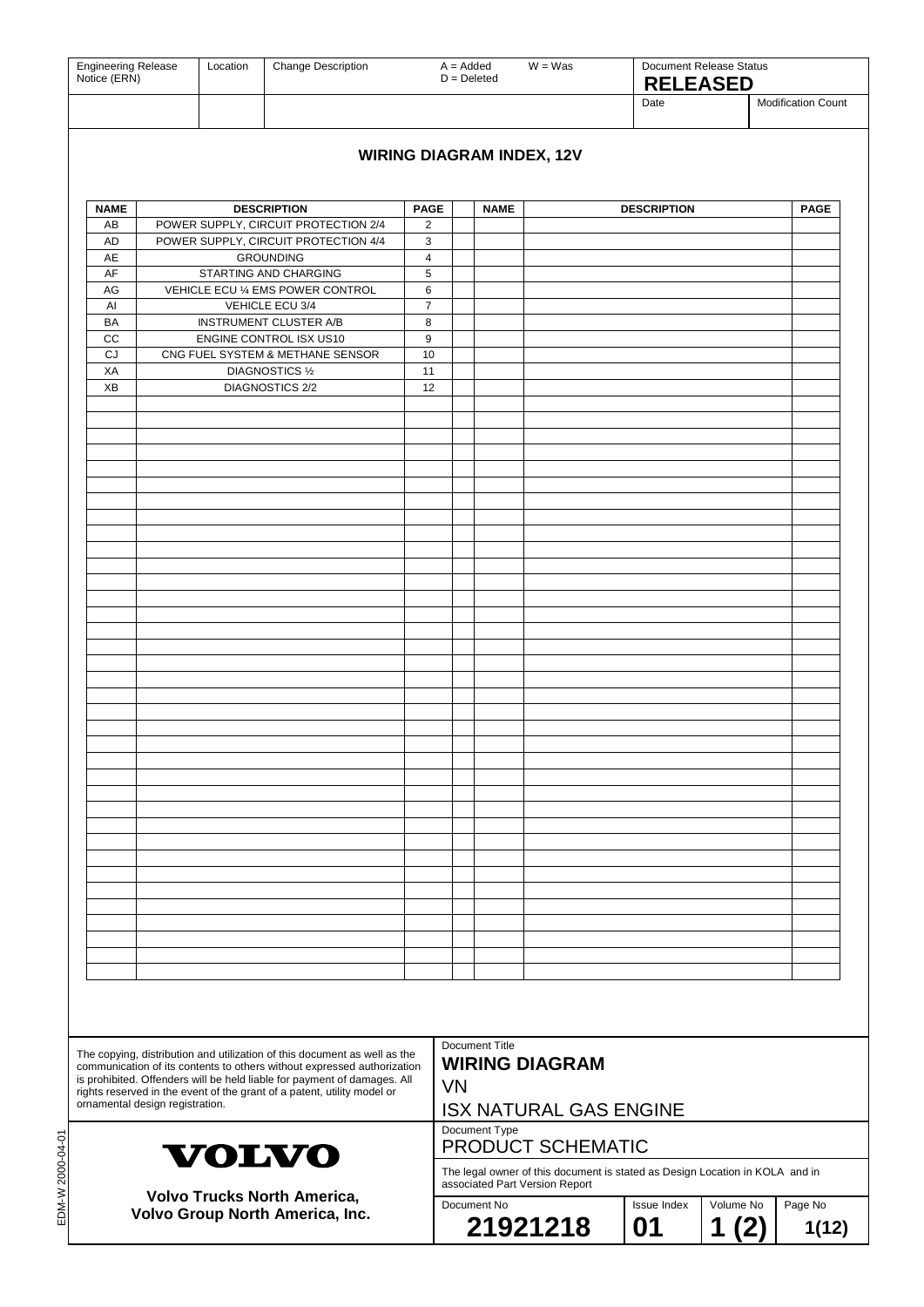| <b>Engineering Release</b><br>Notice (ERN)                                                                                                                                                                                                                                                                                                     |                                                    | Change Description<br>Location                                               |                                                            |                                                    | $A = Added$<br>$W = Was$<br>$D = Deleted$ |                                                                              |    | <b>Document Release Status</b><br><b>RELEASED</b> |       |                           |
|------------------------------------------------------------------------------------------------------------------------------------------------------------------------------------------------------------------------------------------------------------------------------------------------------------------------------------------------|----------------------------------------------------|------------------------------------------------------------------------------|------------------------------------------------------------|----------------------------------------------------|-------------------------------------------|------------------------------------------------------------------------------|----|---------------------------------------------------|-------|---------------------------|
|                                                                                                                                                                                                                                                                                                                                                |                                                    |                                                                              |                                                            |                                                    |                                           |                                                                              |    | Date                                              |       | <b>Modification Count</b> |
|                                                                                                                                                                                                                                                                                                                                                |                                                    |                                                                              |                                                            |                                                    |                                           |                                                                              |    |                                                   |       |                           |
|                                                                                                                                                                                                                                                                                                                                                | <b>WIRING DIAGRAM INDEX, 12V</b>                   |                                                                              |                                                            |                                                    |                                           |                                                                              |    |                                                   |       |                           |
| <b>NAME</b><br>AB                                                                                                                                                                                                                                                                                                                              |                                                    | <b>DESCRIPTION</b>                                                           |                                                            | <b>PAGE</b><br>2                                   |                                           | <b>NAME</b>                                                                  |    | <b>DESCRIPTION</b>                                |       | <b>PAGE</b>               |
| AD                                                                                                                                                                                                                                                                                                                                             |                                                    | POWER SUPPLY, CIRCUIT PROTECTION 2/4<br>POWER SUPPLY, CIRCUIT PROTECTION 4/4 |                                                            | 3                                                  |                                           |                                                                              |    |                                                   |       |                           |
| AE                                                                                                                                                                                                                                                                                                                                             |                                                    | <b>GROUNDING</b>                                                             |                                                            | $\overline{\mathbf{4}}$                            |                                           |                                                                              |    |                                                   |       |                           |
| AF<br>AG                                                                                                                                                                                                                                                                                                                                       | STARTING AND CHARGING                              |                                                                              | 5<br>6                                                     |                                                    |                                           |                                                                              |    |                                                   |       |                           |
| AI                                                                                                                                                                                                                                                                                                                                             | VEHICLE ECU % EMS POWER CONTROL<br>VEHICLE ECU 3/4 |                                                                              | $\overline{7}$                                             |                                                    |                                           |                                                                              |    |                                                   |       |                           |
| BA                                                                                                                                                                                                                                                                                                                                             |                                                    |                                                                              | <b>INSTRUMENT CLUSTER A/B</b>                              | 8                                                  |                                           |                                                                              |    |                                                   |       |                           |
| cc                                                                                                                                                                                                                                                                                                                                             |                                                    |                                                                              | ENGINE CONTROL ISX US10                                    | 9                                                  |                                           |                                                                              |    |                                                   |       |                           |
| CJ<br>XA                                                                                                                                                                                                                                                                                                                                       |                                                    |                                                                              | CNG FUEL SYSTEM & METHANE SENSOR<br><b>DIAGNOSTICS 1/2</b> | 10<br>11                                           |                                           |                                                                              |    |                                                   |       |                           |
| XB                                                                                                                                                                                                                                                                                                                                             |                                                    |                                                                              | <b>DIAGNOSTICS 2/2</b>                                     | 12                                                 |                                           |                                                                              |    |                                                   |       |                           |
|                                                                                                                                                                                                                                                                                                                                                |                                                    |                                                                              |                                                            |                                                    |                                           |                                                                              |    |                                                   |       |                           |
|                                                                                                                                                                                                                                                                                                                                                |                                                    |                                                                              |                                                            |                                                    |                                           |                                                                              |    |                                                   |       |                           |
|                                                                                                                                                                                                                                                                                                                                                |                                                    |                                                                              |                                                            |                                                    |                                           |                                                                              |    |                                                   |       |                           |
|                                                                                                                                                                                                                                                                                                                                                |                                                    |                                                                              |                                                            |                                                    |                                           |                                                                              |    |                                                   |       |                           |
|                                                                                                                                                                                                                                                                                                                                                |                                                    |                                                                              |                                                            |                                                    |                                           |                                                                              |    |                                                   |       |                           |
|                                                                                                                                                                                                                                                                                                                                                |                                                    |                                                                              |                                                            |                                                    |                                           |                                                                              |    |                                                   |       |                           |
|                                                                                                                                                                                                                                                                                                                                                |                                                    |                                                                              |                                                            |                                                    |                                           |                                                                              |    |                                                   |       |                           |
|                                                                                                                                                                                                                                                                                                                                                |                                                    |                                                                              |                                                            |                                                    |                                           |                                                                              |    |                                                   |       |                           |
|                                                                                                                                                                                                                                                                                                                                                |                                                    |                                                                              |                                                            |                                                    |                                           |                                                                              |    |                                                   |       |                           |
|                                                                                                                                                                                                                                                                                                                                                |                                                    |                                                                              |                                                            |                                                    |                                           |                                                                              |    |                                                   |       |                           |
|                                                                                                                                                                                                                                                                                                                                                |                                                    |                                                                              |                                                            |                                                    |                                           |                                                                              |    |                                                   |       |                           |
|                                                                                                                                                                                                                                                                                                                                                |                                                    |                                                                              |                                                            |                                                    |                                           |                                                                              |    |                                                   |       |                           |
|                                                                                                                                                                                                                                                                                                                                                |                                                    |                                                                              |                                                            |                                                    |                                           |                                                                              |    |                                                   |       |                           |
|                                                                                                                                                                                                                                                                                                                                                |                                                    |                                                                              |                                                            |                                                    |                                           |                                                                              |    |                                                   |       |                           |
|                                                                                                                                                                                                                                                                                                                                                |                                                    |                                                                              |                                                            |                                                    |                                           |                                                                              |    |                                                   |       |                           |
|                                                                                                                                                                                                                                                                                                                                                |                                                    |                                                                              |                                                            |                                                    |                                           |                                                                              |    |                                                   |       |                           |
|                                                                                                                                                                                                                                                                                                                                                |                                                    |                                                                              |                                                            |                                                    |                                           |                                                                              |    |                                                   |       |                           |
|                                                                                                                                                                                                                                                                                                                                                |                                                    |                                                                              |                                                            |                                                    |                                           |                                                                              |    |                                                   |       |                           |
|                                                                                                                                                                                                                                                                                                                                                |                                                    |                                                                              |                                                            |                                                    |                                           |                                                                              |    |                                                   |       |                           |
|                                                                                                                                                                                                                                                                                                                                                |                                                    |                                                                              |                                                            |                                                    |                                           |                                                                              |    |                                                   |       |                           |
|                                                                                                                                                                                                                                                                                                                                                |                                                    |                                                                              |                                                            |                                                    |                                           |                                                                              |    |                                                   |       |                           |
|                                                                                                                                                                                                                                                                                                                                                |                                                    |                                                                              |                                                            |                                                    |                                           |                                                                              |    |                                                   |       |                           |
|                                                                                                                                                                                                                                                                                                                                                |                                                    |                                                                              |                                                            |                                                    |                                           |                                                                              |    |                                                   |       |                           |
|                                                                                                                                                                                                                                                                                                                                                |                                                    |                                                                              |                                                            |                                                    |                                           |                                                                              |    |                                                   |       |                           |
|                                                                                                                                                                                                                                                                                                                                                |                                                    |                                                                              |                                                            |                                                    |                                           |                                                                              |    |                                                   |       |                           |
|                                                                                                                                                                                                                                                                                                                                                |                                                    |                                                                              |                                                            |                                                    |                                           |                                                                              |    |                                                   |       |                           |
|                                                                                                                                                                                                                                                                                                                                                |                                                    |                                                                              |                                                            |                                                    |                                           |                                                                              |    |                                                   |       |                           |
|                                                                                                                                                                                                                                                                                                                                                |                                                    |                                                                              |                                                            |                                                    |                                           |                                                                              |    |                                                   |       |                           |
|                                                                                                                                                                                                                                                                                                                                                |                                                    |                                                                              |                                                            |                                                    |                                           |                                                                              |    |                                                   |       |                           |
|                                                                                                                                                                                                                                                                                                                                                |                                                    |                                                                              |                                                            |                                                    |                                           |                                                                              |    |                                                   |       |                           |
|                                                                                                                                                                                                                                                                                                                                                |                                                    |                                                                              |                                                            |                                                    |                                           |                                                                              |    |                                                   |       |                           |
|                                                                                                                                                                                                                                                                                                                                                |                                                    |                                                                              |                                                            |                                                    |                                           | Document Title                                                               |    |                                                   |       |                           |
| The copying, distribution and utilization of this document as well as the<br>communication of its contents to others without expressed authorization<br>is prohibited. Offenders will be held liable for payment of damages. All<br>rights reserved in the event of the grant of a patent, utility model or<br>ornamental design registration. |                                                    |                                                                              |                                                            | <b>WIRING DIAGRAM</b>                              |                                           |                                                                              |    |                                                   |       |                           |
|                                                                                                                                                                                                                                                                                                                                                |                                                    |                                                                              |                                                            |                                                    | <b>VN</b>                                 |                                                                              |    |                                                   |       |                           |
|                                                                                                                                                                                                                                                                                                                                                |                                                    |                                                                              |                                                            |                                                    | <b>ISX NATURAL GAS ENGINE</b>             |                                                                              |    |                                                   |       |                           |
|                                                                                                                                                                                                                                                                                                                                                |                                                    |                                                                              |                                                            |                                                    |                                           | Document Type                                                                |    |                                                   |       |                           |
| <b>VOLVO</b><br><b>Volvo Trucks North America,</b><br>Volvo Group North America, Inc.                                                                                                                                                                                                                                                          |                                                    |                                                                              |                                                            |                                                    |                                           | PRODUCT SCHEMATIC                                                            |    |                                                   |       |                           |
|                                                                                                                                                                                                                                                                                                                                                |                                                    |                                                                              |                                                            |                                                    |                                           | The legal owner of this document is stated as Design Location in KOLA and in |    |                                                   |       |                           |
|                                                                                                                                                                                                                                                                                                                                                |                                                    |                                                                              |                                                            |                                                    |                                           | associated Part Version Report                                               |    |                                                   |       |                           |
|                                                                                                                                                                                                                                                                                                                                                |                                                    |                                                                              |                                                            | Volume No<br>Page No<br>Document No<br>Issue Index |                                           |                                                                              |    |                                                   |       |                           |
|                                                                                                                                                                                                                                                                                                                                                |                                                    |                                                                              |                                                            |                                                    |                                           | 21921218                                                                     | 01 | 1(2)                                              | 1(12) |                           |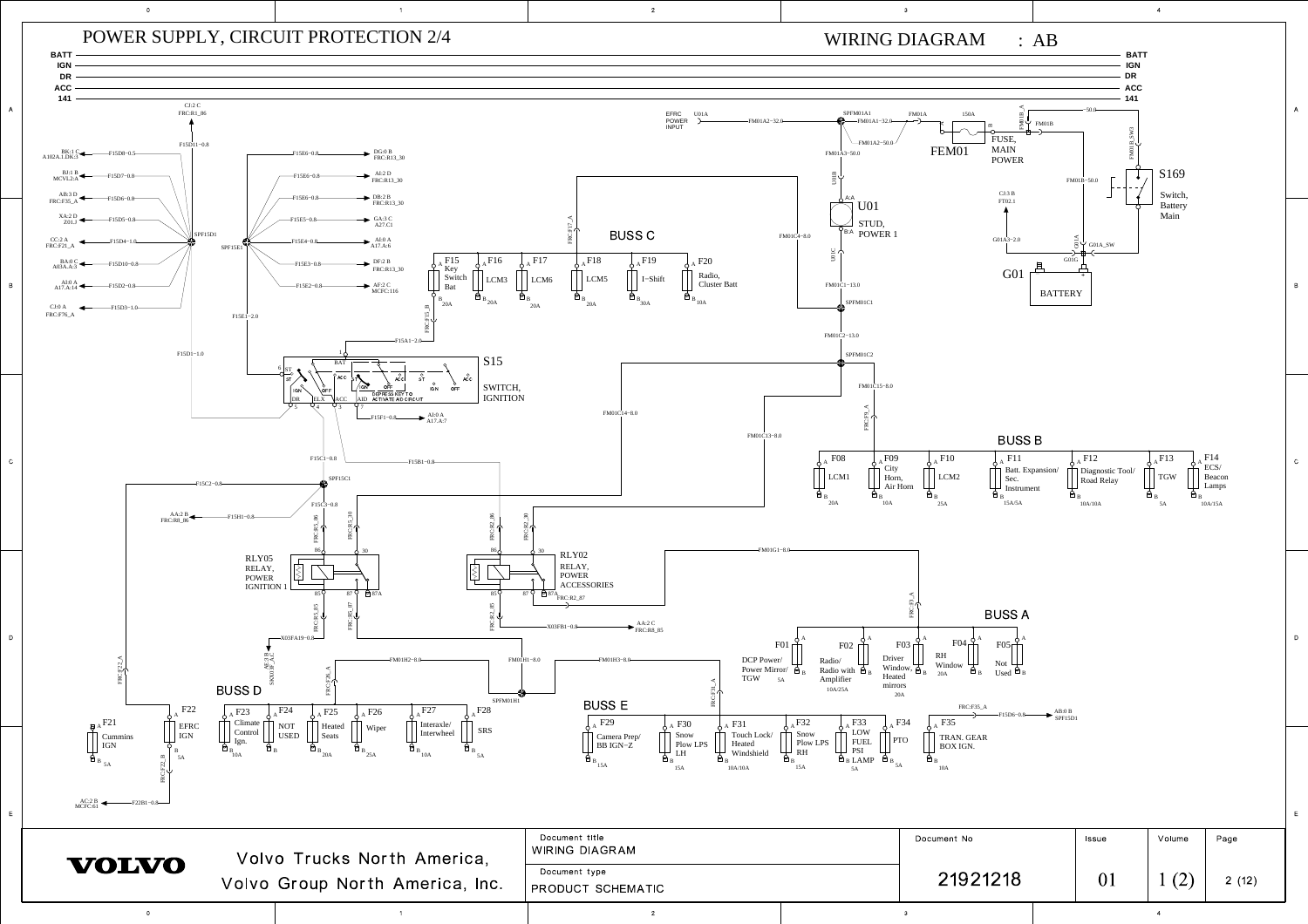

A

B

E

E

A

B

C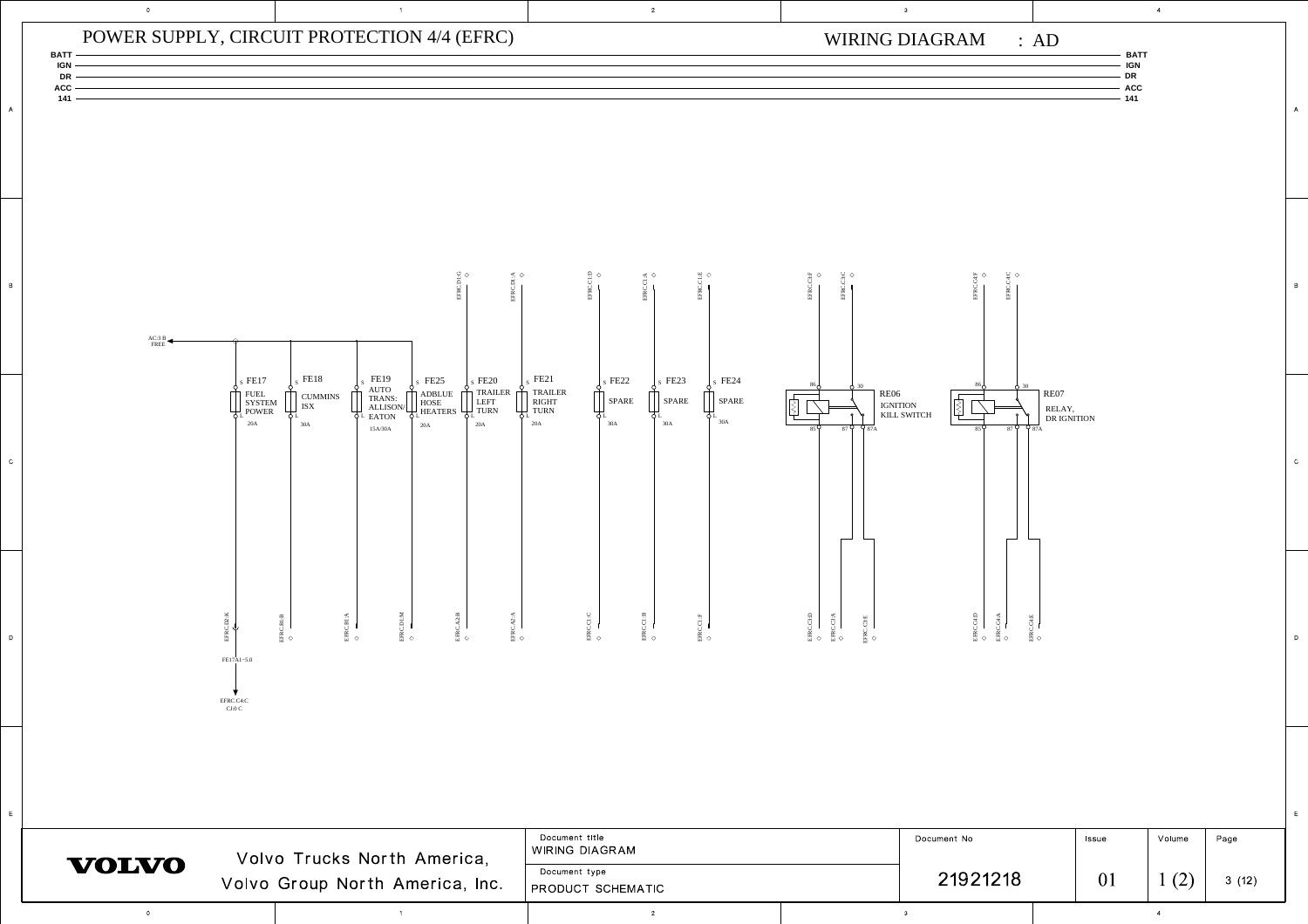

A

B

 $^{\circ}$  c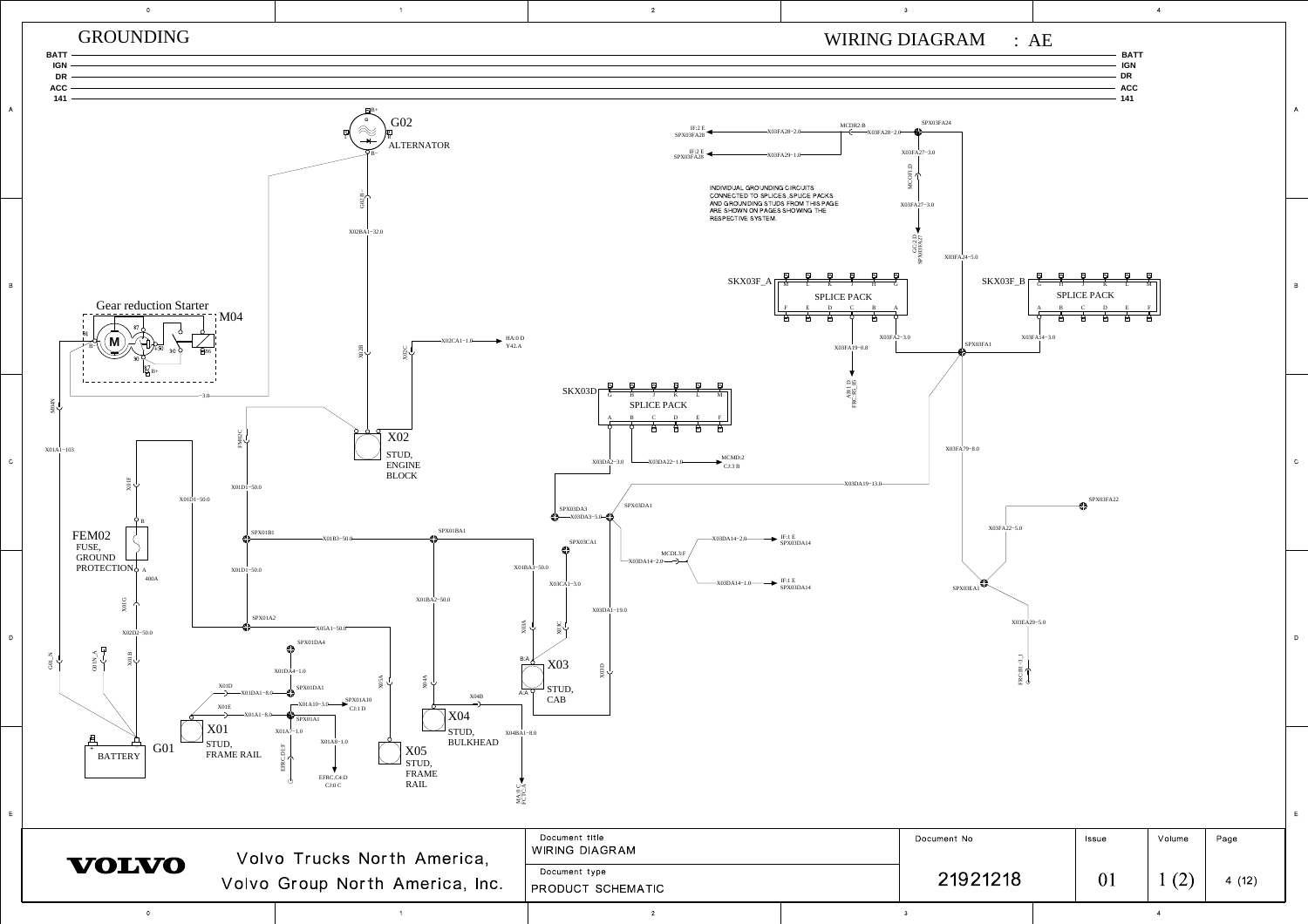

A

B

C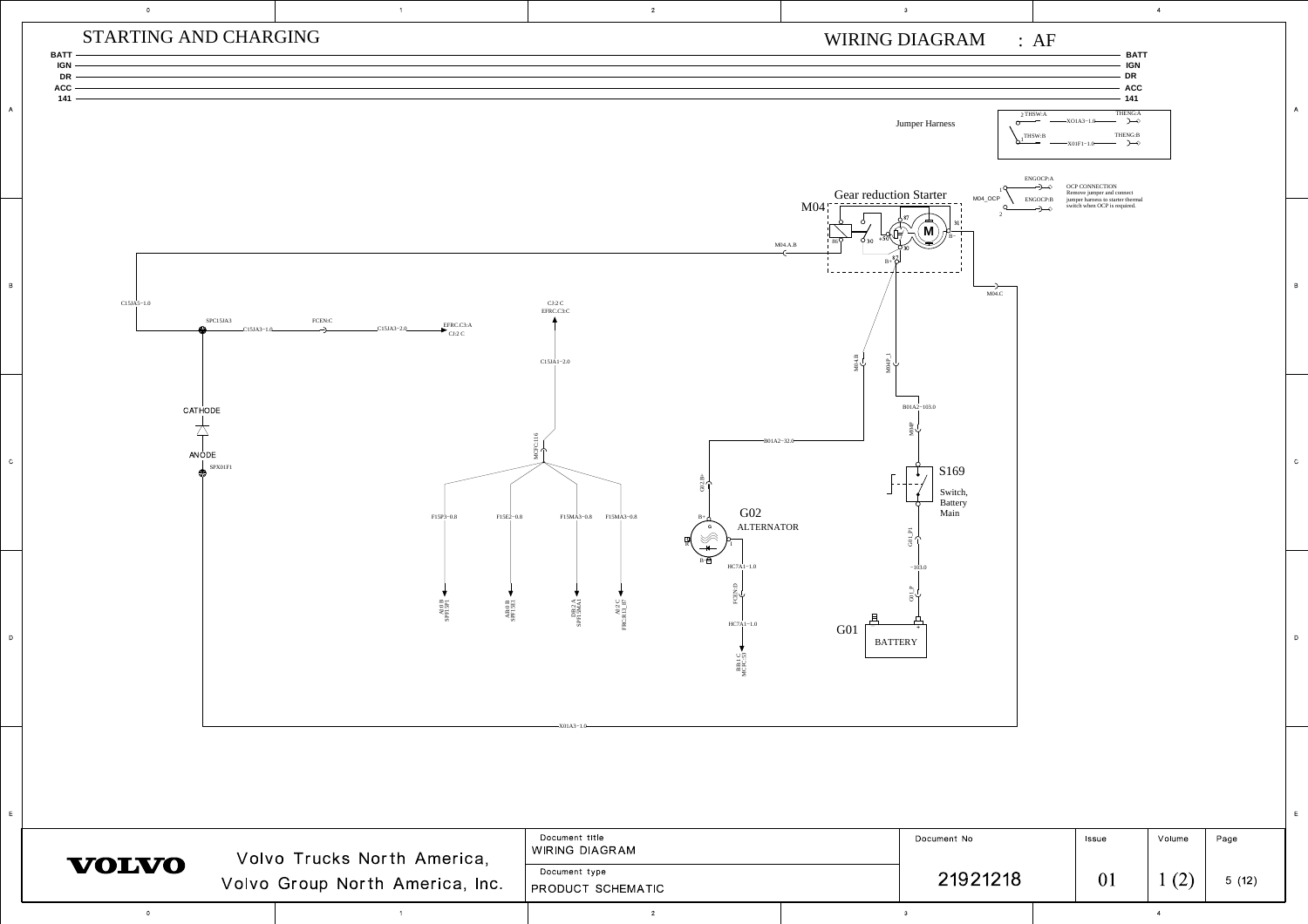

A

B

C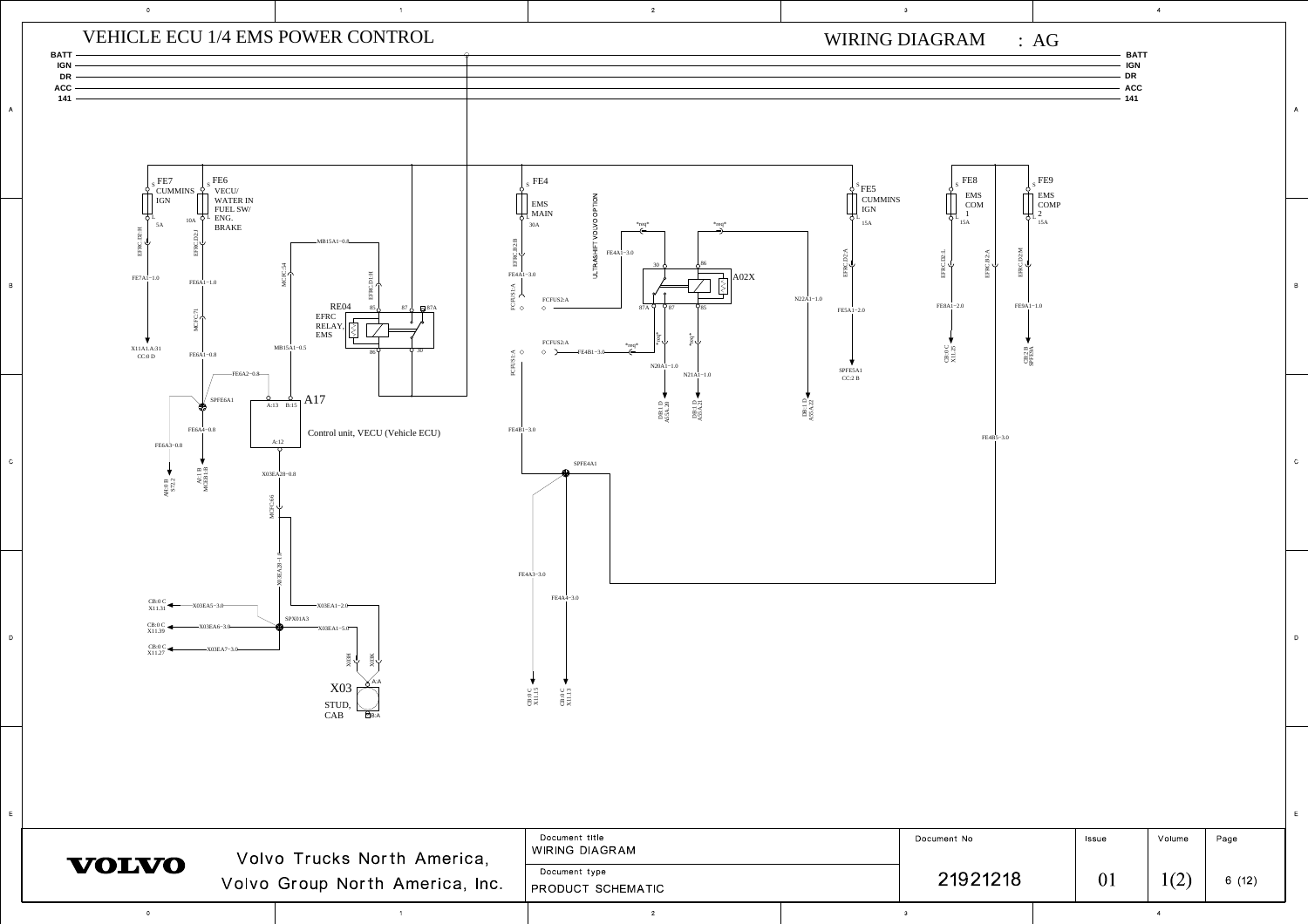

A

B

C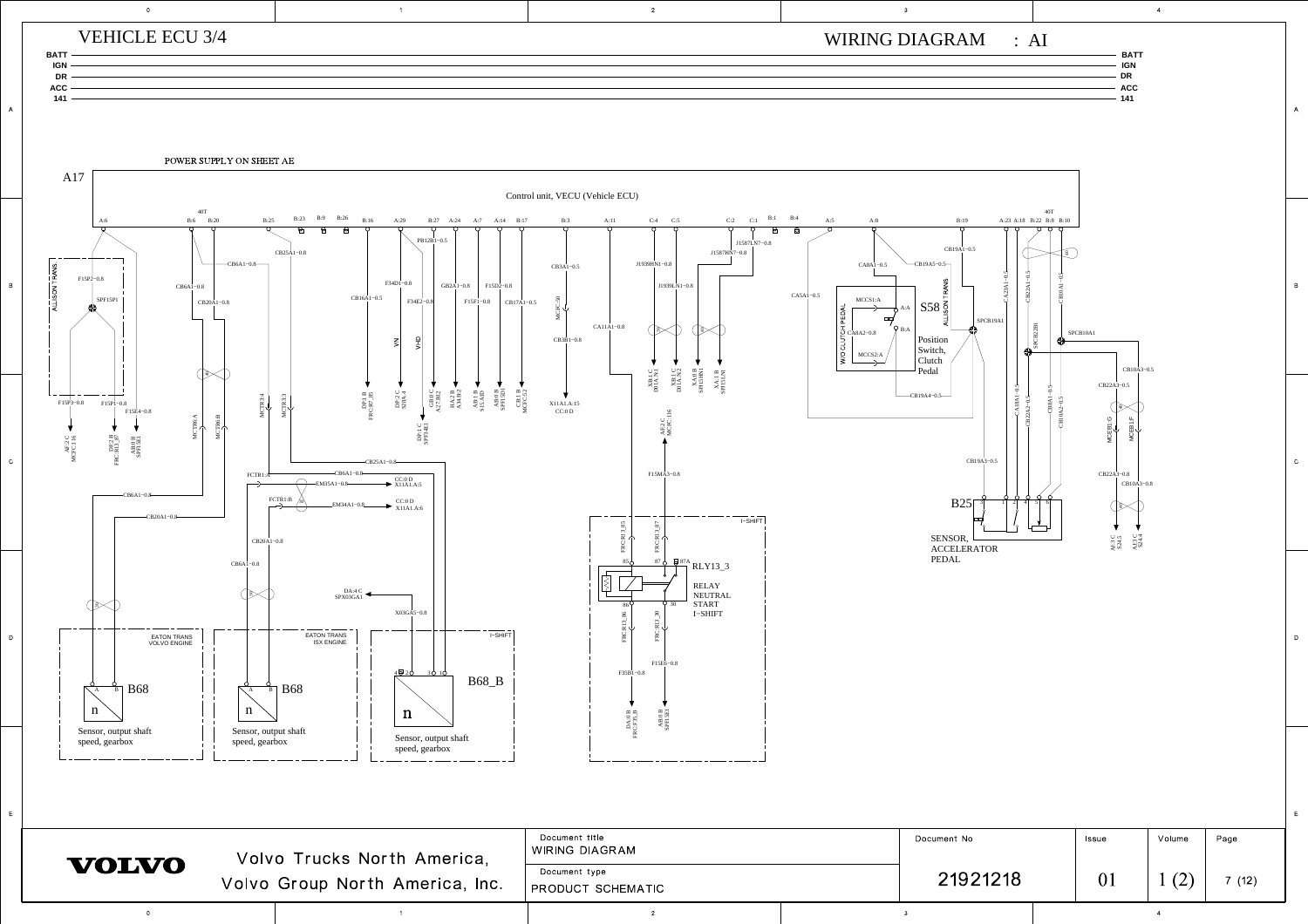

<sup>1</sup> <sup>2</sup> <sup>3</sup> <sup>4</sup>

 $\overline{0}$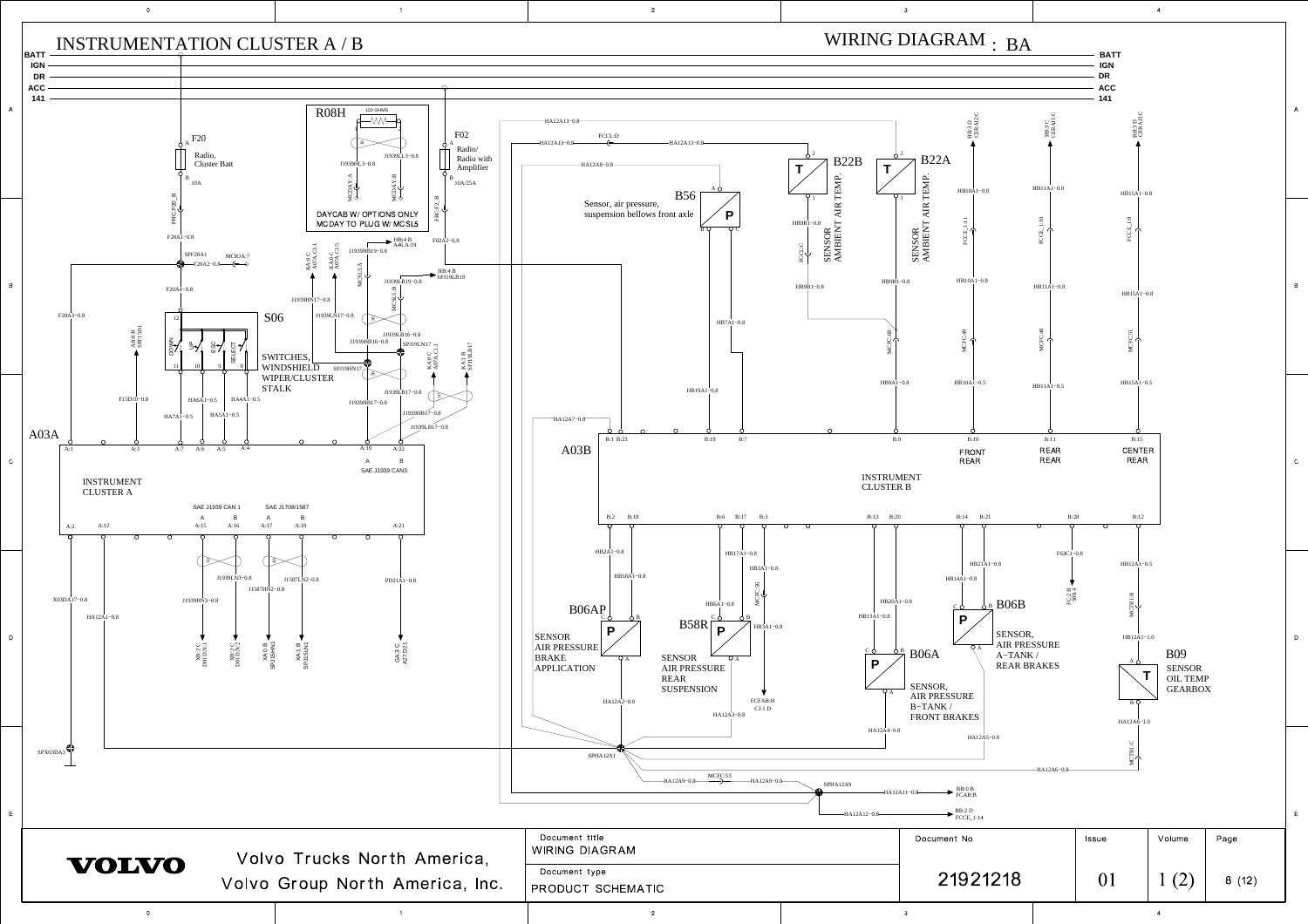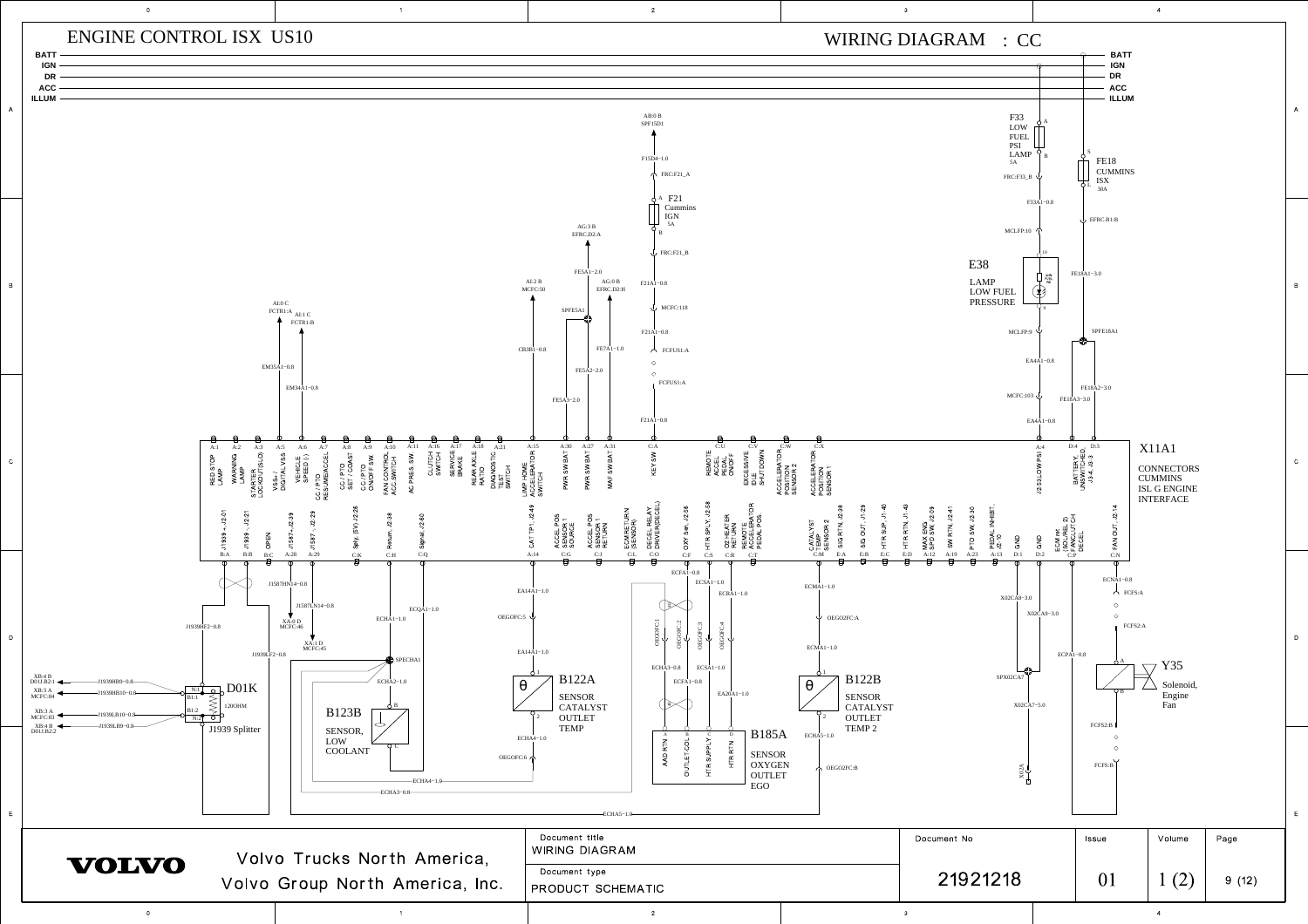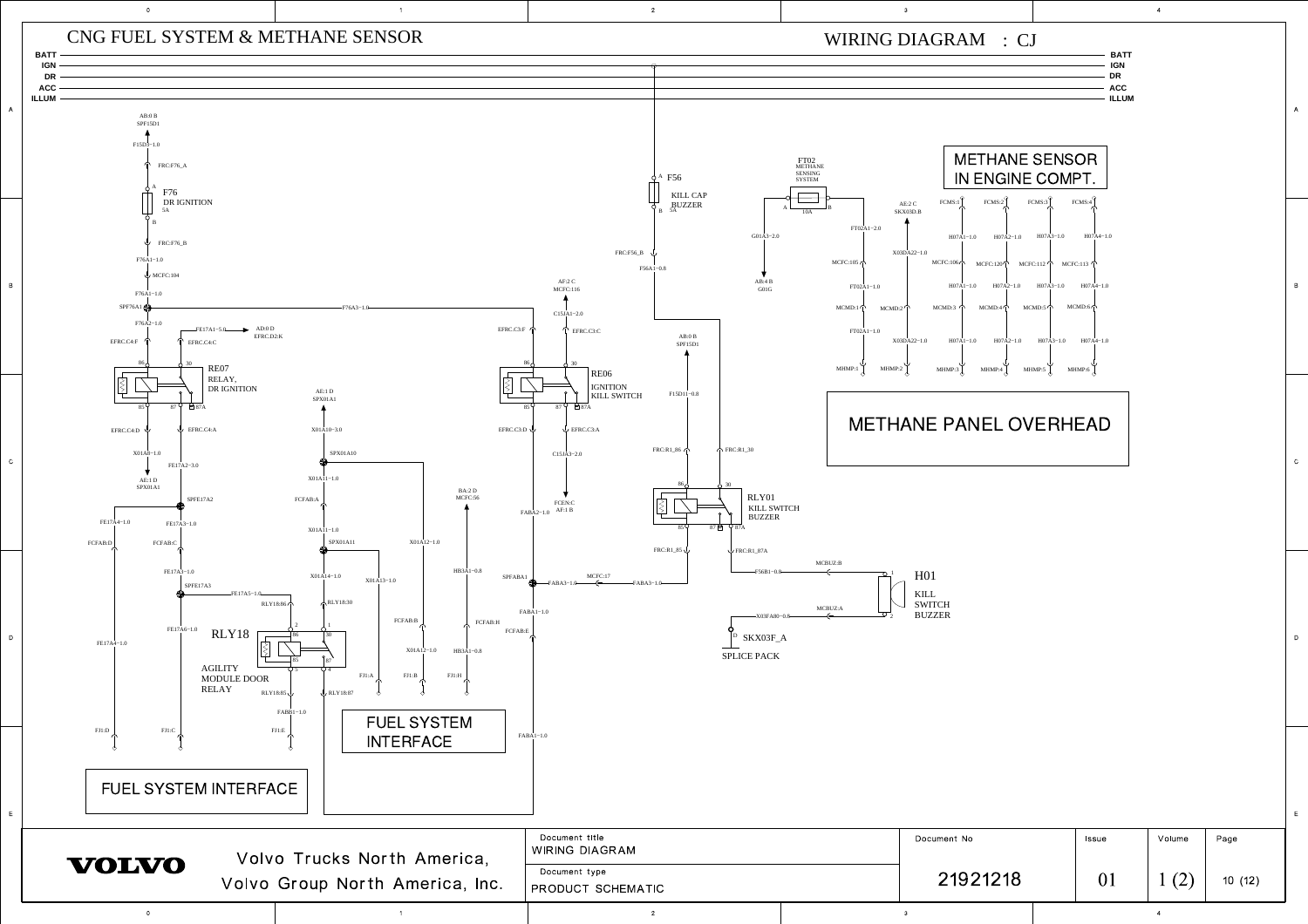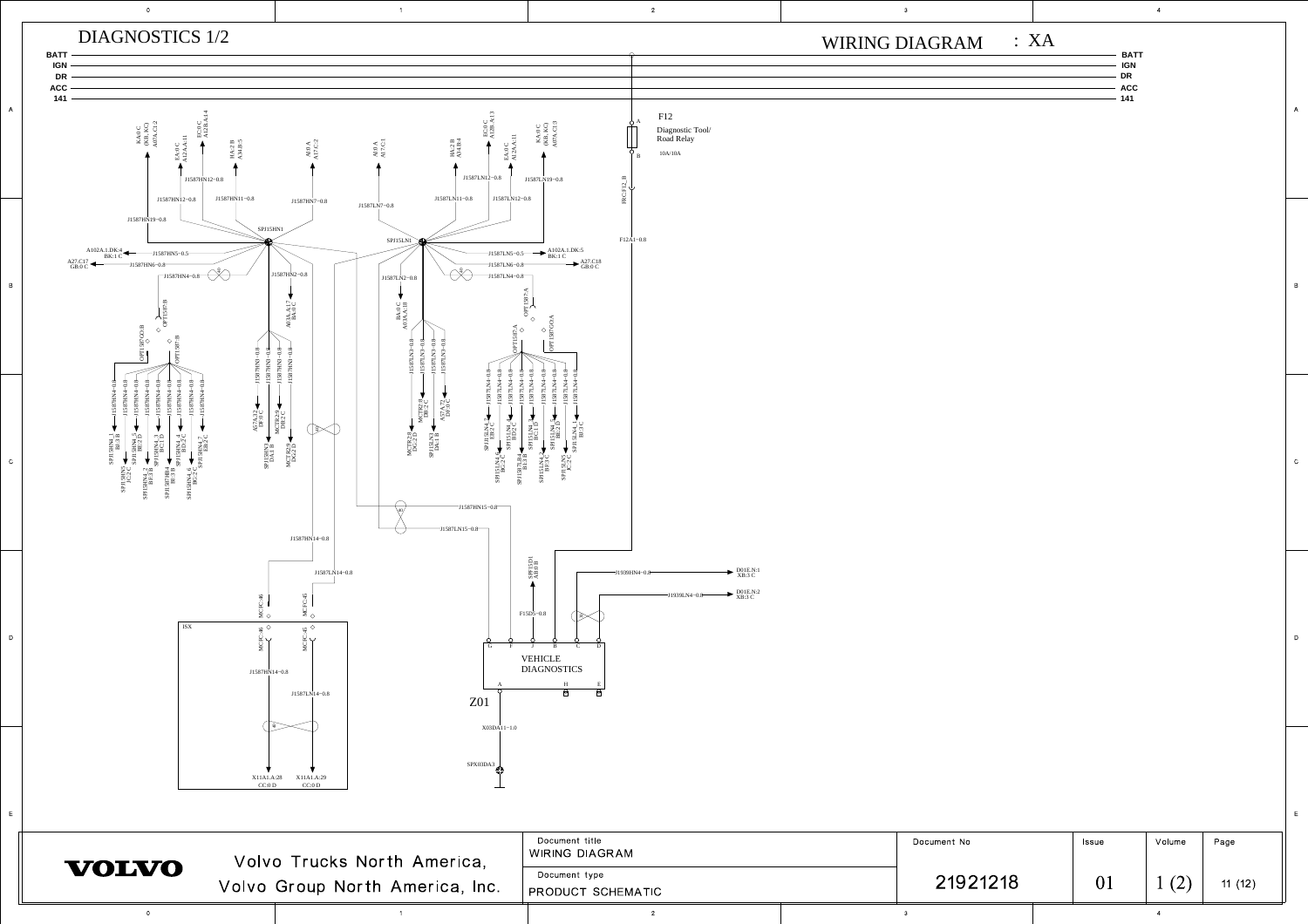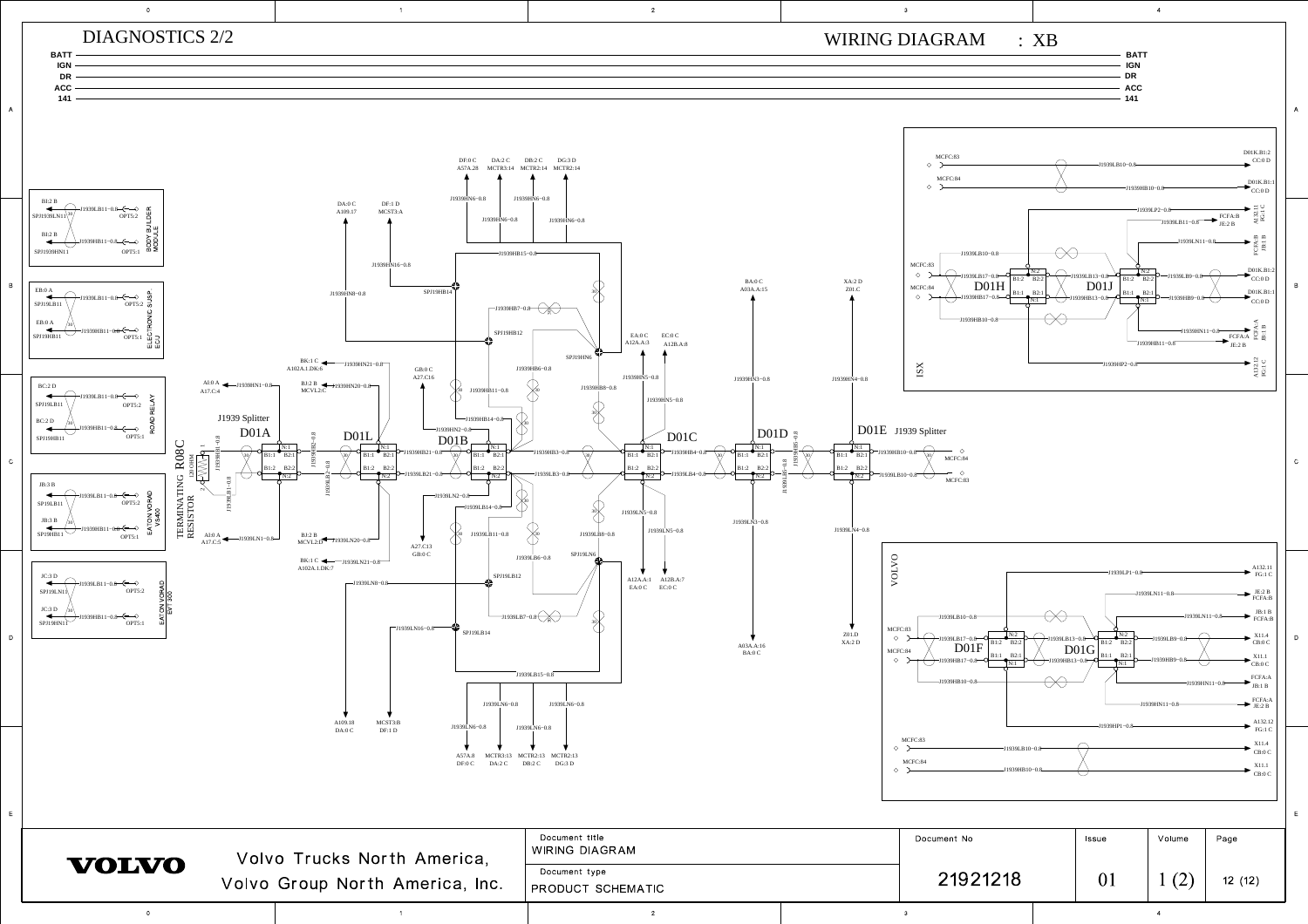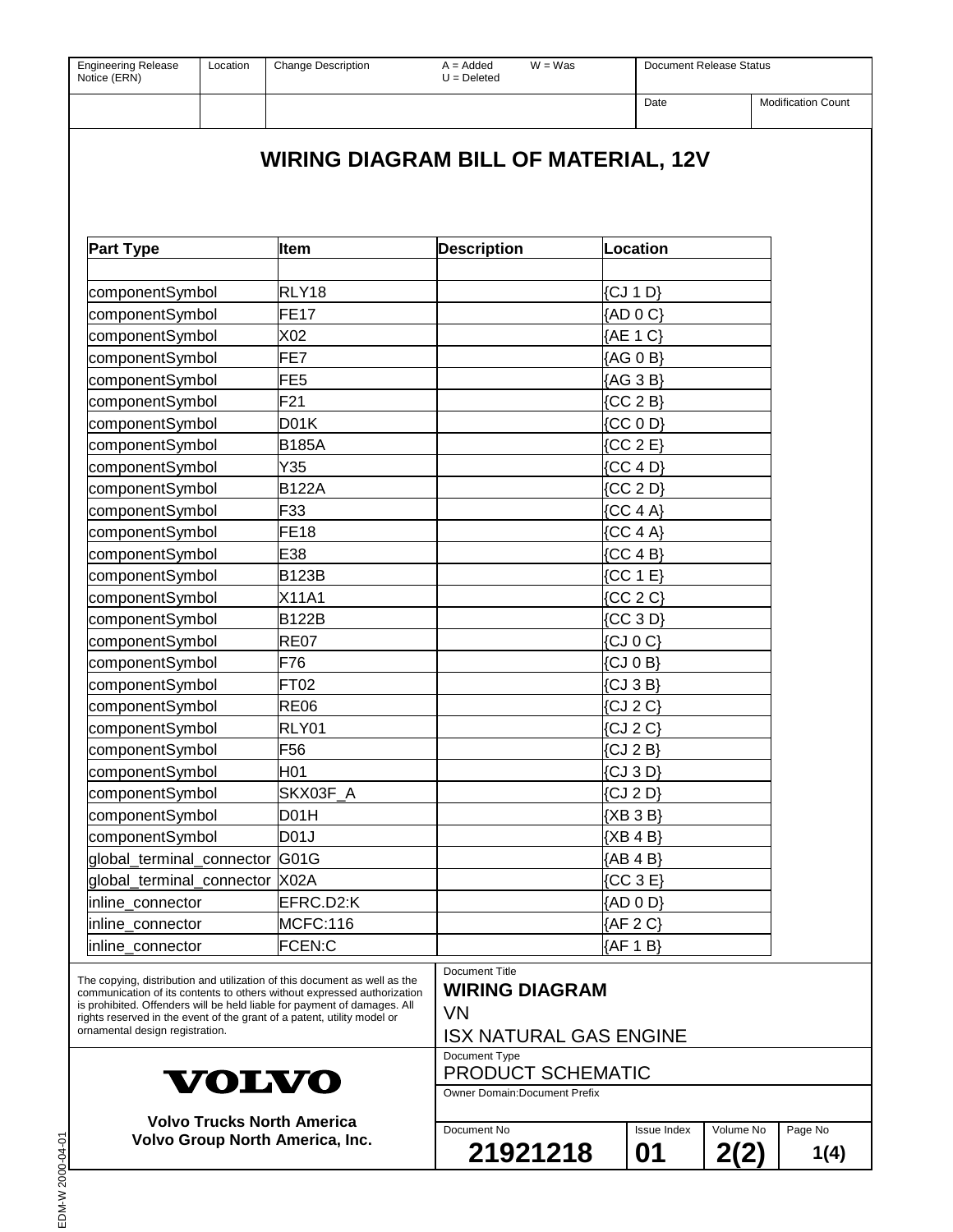| <b>Engineering Release</b><br>Location<br>Notice (ERN)                                                                                                                                                                                                                                                                                         | <b>Change Description</b>                   | $A = Added$<br>$W = Was$<br>$U = Deleted$                                             |                    | Document Release Status |                           |  |
|------------------------------------------------------------------------------------------------------------------------------------------------------------------------------------------------------------------------------------------------------------------------------------------------------------------------------------------------|---------------------------------------------|---------------------------------------------------------------------------------------|--------------------|-------------------------|---------------------------|--|
|                                                                                                                                                                                                                                                                                                                                                |                                             |                                                                                       | Date               |                         | <b>Modification Count</b> |  |
|                                                                                                                                                                                                                                                                                                                                                | <b>WIRING DIAGRAM BILL OF MATERIAL, 12V</b> |                                                                                       |                    |                         |                           |  |
|                                                                                                                                                                                                                                                                                                                                                |                                             |                                                                                       |                    |                         |                           |  |
| <b>Part Type</b>                                                                                                                                                                                                                                                                                                                               | <b>Item</b>                                 | <b>Description</b>                                                                    | Location           |                         |                           |  |
| componentSymbol                                                                                                                                                                                                                                                                                                                                | RLY18                                       |                                                                                       | $\{CJ 1 D\}$       |                         |                           |  |
| componentSymbol                                                                                                                                                                                                                                                                                                                                | FE <sub>17</sub>                            |                                                                                       | ${AD}$ 0 $C$ }     |                         |                           |  |
| componentSymbol                                                                                                                                                                                                                                                                                                                                | X02                                         |                                                                                       | {AE 1 C}           |                         |                           |  |
| componentSymbol                                                                                                                                                                                                                                                                                                                                | FE7                                         |                                                                                       | {AG 0 B}           |                         |                           |  |
| componentSymbol                                                                                                                                                                                                                                                                                                                                | FE <sub>5</sub>                             |                                                                                       | {AG 3 B}           |                         |                           |  |
| componentSymbol                                                                                                                                                                                                                                                                                                                                | F <sub>21</sub>                             |                                                                                       | ${CC 2 B}$         |                         |                           |  |
| componentSymbol                                                                                                                                                                                                                                                                                                                                | D <sub>01</sub> K                           |                                                                                       | ${CC}$ 0 D}        |                         |                           |  |
| componentSymbol                                                                                                                                                                                                                                                                                                                                | <b>B185A</b>                                |                                                                                       | [CC 2 E]           |                         |                           |  |
| componentSymbol                                                                                                                                                                                                                                                                                                                                | Y35                                         |                                                                                       | ${CC 4 D}$         |                         |                           |  |
| componentSymbol                                                                                                                                                                                                                                                                                                                                | <b>B122A</b>                                |                                                                                       | ${CC 2 D}$         |                         |                           |  |
| componentSymbol                                                                                                                                                                                                                                                                                                                                | F33                                         |                                                                                       | ${CC 4 A}$         |                         |                           |  |
| componentSymbol                                                                                                                                                                                                                                                                                                                                | <b>FE18</b>                                 |                                                                                       | ${CC 4 A}$         |                         |                           |  |
| componentSymbol                                                                                                                                                                                                                                                                                                                                | E38                                         |                                                                                       | ${CC 4 B}$         |                         |                           |  |
| componentSymbol                                                                                                                                                                                                                                                                                                                                | <b>B123B</b>                                |                                                                                       | [CC 1 E]           |                         |                           |  |
| componentSymbol                                                                                                                                                                                                                                                                                                                                | X11A1                                       |                                                                                       | ${CC 2 C}$         |                         |                           |  |
| componentSymbol                                                                                                                                                                                                                                                                                                                                | <b>B122B</b>                                |                                                                                       | ${CC}$ 3 D         |                         |                           |  |
| componentSymbol                                                                                                                                                                                                                                                                                                                                | <b>RE07</b>                                 |                                                                                       | $\{CJ \ 0 \ C\}$   |                         |                           |  |
| componentSymbol                                                                                                                                                                                                                                                                                                                                | F76                                         |                                                                                       | $\{CJ \ 0 \ B\}$   |                         |                           |  |
| componentSymbol                                                                                                                                                                                                                                                                                                                                | <b>FT02</b>                                 |                                                                                       | $\{CJ 3B\}$        |                         |                           |  |
| componentSymbol                                                                                                                                                                                                                                                                                                                                | <b>RE06</b>                                 |                                                                                       | $\{CJ 2 C\}$       |                         |                           |  |
| componentSymbol                                                                                                                                                                                                                                                                                                                                | RLY01                                       |                                                                                       | $\{CJ 2 C\}$       |                         |                           |  |
| componentSymbol                                                                                                                                                                                                                                                                                                                                | F <sub>56</sub>                             |                                                                                       | $\{CJ 2B\}$        |                         |                           |  |
| componentSymbol                                                                                                                                                                                                                                                                                                                                | H <sub>01</sub>                             |                                                                                       | $\{CJ \ 3 \ D\}$   |                         |                           |  |
| componentSymbol                                                                                                                                                                                                                                                                                                                                | SKX03F_A                                    |                                                                                       | $\{CJ 2 D\}$       |                         |                           |  |
| componentSymbol                                                                                                                                                                                                                                                                                                                                | D01H                                        |                                                                                       | ${XB}$ 3 B         |                         |                           |  |
| componentSymbol                                                                                                                                                                                                                                                                                                                                | D <sub>01</sub> J                           |                                                                                       | ${XB 4 B}$         |                         |                           |  |
| global_terminal_connector G01G                                                                                                                                                                                                                                                                                                                 |                                             |                                                                                       | ${AB 4 B}$         |                         |                           |  |
| global_terminal_connector X02A                                                                                                                                                                                                                                                                                                                 |                                             |                                                                                       | ${CC}$ 3 E         |                         |                           |  |
| inline_connector                                                                                                                                                                                                                                                                                                                               | EFRC.D2:K                                   |                                                                                       | {AD 0 D}           |                         |                           |  |
| inline connector                                                                                                                                                                                                                                                                                                                               | MCFC:116                                    |                                                                                       | ${AF2 C}$          |                         |                           |  |
| inline_connector                                                                                                                                                                                                                                                                                                                               | FCEN:C                                      |                                                                                       | {AF 1 B}           |                         |                           |  |
| The copying, distribution and utilization of this document as well as the<br>communication of its contents to others without expressed authorization<br>is prohibited. Offenders will be held liable for payment of damages. All<br>rights reserved in the event of the grant of a patent, utility model or<br>ornamental design registration. |                                             | Document Title<br><b>WIRING DIAGRAM</b><br><b>VN</b><br><b>ISX NATURAL GAS ENGINE</b> |                    |                         |                           |  |
| <b>VOLVO</b>                                                                                                                                                                                                                                                                                                                                   |                                             | Document Type<br>PRODUCT SCHEMATIC                                                    |                    |                         |                           |  |
|                                                                                                                                                                                                                                                                                                                                                |                                             | <b>Owner Domain: Document Prefix</b>                                                  |                    |                         |                           |  |
| <b>Volvo Trucks North America</b><br>Volvo Group North America, Inc.                                                                                                                                                                                                                                                                           |                                             | Document No                                                                           | <b>Issue Index</b> | Volume No               | Page No                   |  |
|                                                                                                                                                                                                                                                                                                                                                |                                             | 21921218                                                                              | 01                 | 2(2)                    | 1(4)                      |  |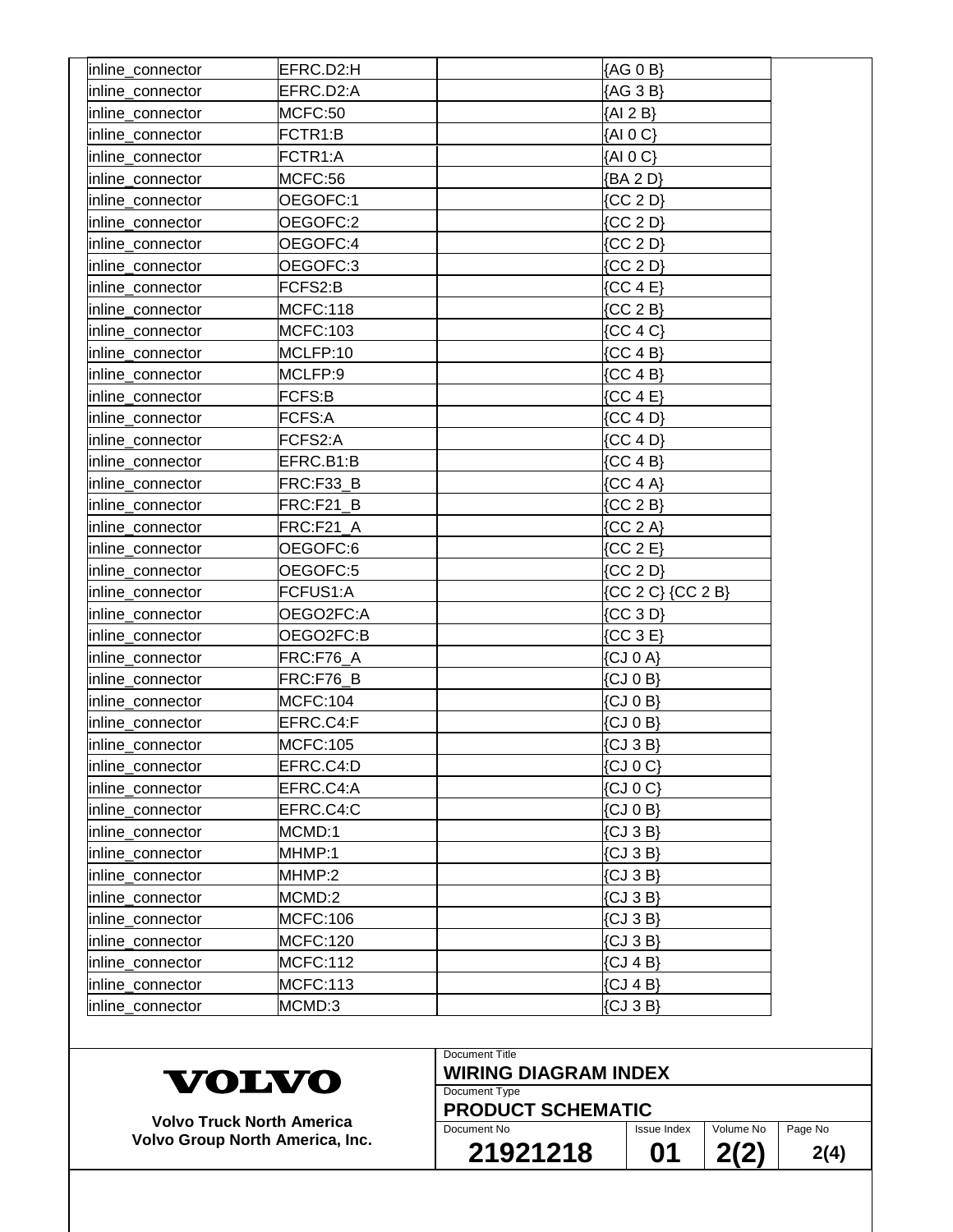| inline_connector | EFRC.D2:H       | {AG 0 B}                   |
|------------------|-----------------|----------------------------|
| inline_connector | EFRC.D2:A       | {AG 3 B}                   |
| inline_connector | MCFC:50         | ${AI 2 B}$                 |
| inline_connector | FCTR1:B         | ${AIO C}$                  |
| inline_connector | FCTR1:A         | ${AIO C}$                  |
| inline_connector | MCFC:56         | {BA 2 D}                   |
| inline_connector | OEGOFC:1        | ${CC 2 D}$                 |
| inline_connector | OEGOFC:2        | ${CC 2 D}$                 |
| inline connector | OEGOFC:4        | ${CC 2 D}$                 |
| inline_connector | OEGOFC:3        | ${CC 2 D}$                 |
| inline_connector | FCFS2:B         | ${CC 4 E}$                 |
| inline_connector | <b>MCFC:118</b> | ${CC 2 B}$                 |
| inline_connector | MCFC:103        | ${CC 4 C}$                 |
| inline_connector | MCLFP:10        | ${CC 4 B}$                 |
| inline_connector | MCLFP:9         | ${CC 4 B}$                 |
| inline_connector | FCFS:B          | ${CC 4 E}$                 |
| inline_connector | FCFS:A          | ${CC 4 D}$                 |
| inline_connector | FCFS2:A         | ${CC 4 D}$                 |
| inline_connector | EFRC.B1:B       | ${CC 4 B}$                 |
| inline_connector | FRC:F33 B       | ${CC 4 A}$                 |
| inline_connector | FRC:F21 B       | ${CC 2 B}$                 |
| inline_connector | FRC:F21_A       | ${CC 2 A}$                 |
| inline_connector | OEGOFC:6        | ${CC 2 E}$                 |
| inline_connector | OEGOFC:5        | ${CC 2 D}$                 |
| inline_connector | FCFUS1:A        | {CC 2 C} {CC 2 B}          |
| inline_connector | OEGO2FC:A       | ${CC 3 D}$                 |
| inline_connector | OEGO2FC:B       | ${CC}$ 3 E                 |
| inline_connector | FRC:F76_A       | $\{CJ \space 0 \space A\}$ |
| inline_connector | FRC:F76_B       | $\{CJ \ 0 \ B\}$           |
| inline connector | <b>MCFC:104</b> | $\{CJ \ 0 \ B\}$           |
| inline_connector | EFRC.C4:F       | $\{CJ \ 0 \ B\}$           |
| inline_connector | MCFC:105        | $\{CJ 3B\}$                |
| inline connector | EFRC.C4:D       | $\{CJ \mid C\}$            |
| inline_connector | EFRC.C4:A       | $\{CJ \space 0 \space C\}$ |
| inline_connector | EFRC.C4:C       | $\{CJ \ 0 \ B\}$           |
| inline_connector | MCMD:1          | $\{CJ \ 3 \ B\}$           |
| inline_connector | MHMP:1          | $\{CJ \ 3 \ B\}$           |
| inline_connector | MHMP:2          | $\{CJ 3 B\}$               |
| inline_connector | MCMD:2          | $\{CJ \ 3 \ B\}$           |
| inline_connector | MCFC:106        | $\{CJ 3B\}$                |
| inline_connector | <b>MCFC:120</b> | $\{CJ 3 B\}$               |
| inline_connector | <b>MCFC:112</b> | $\{CJ 4B\}$                |
| inline_connector | MCFC:113        | $\{CJ 4B\}$                |
|                  | MCMD:3          |                            |
| inline_connector |                 | $\{CJ \,3 \,B\}$           |

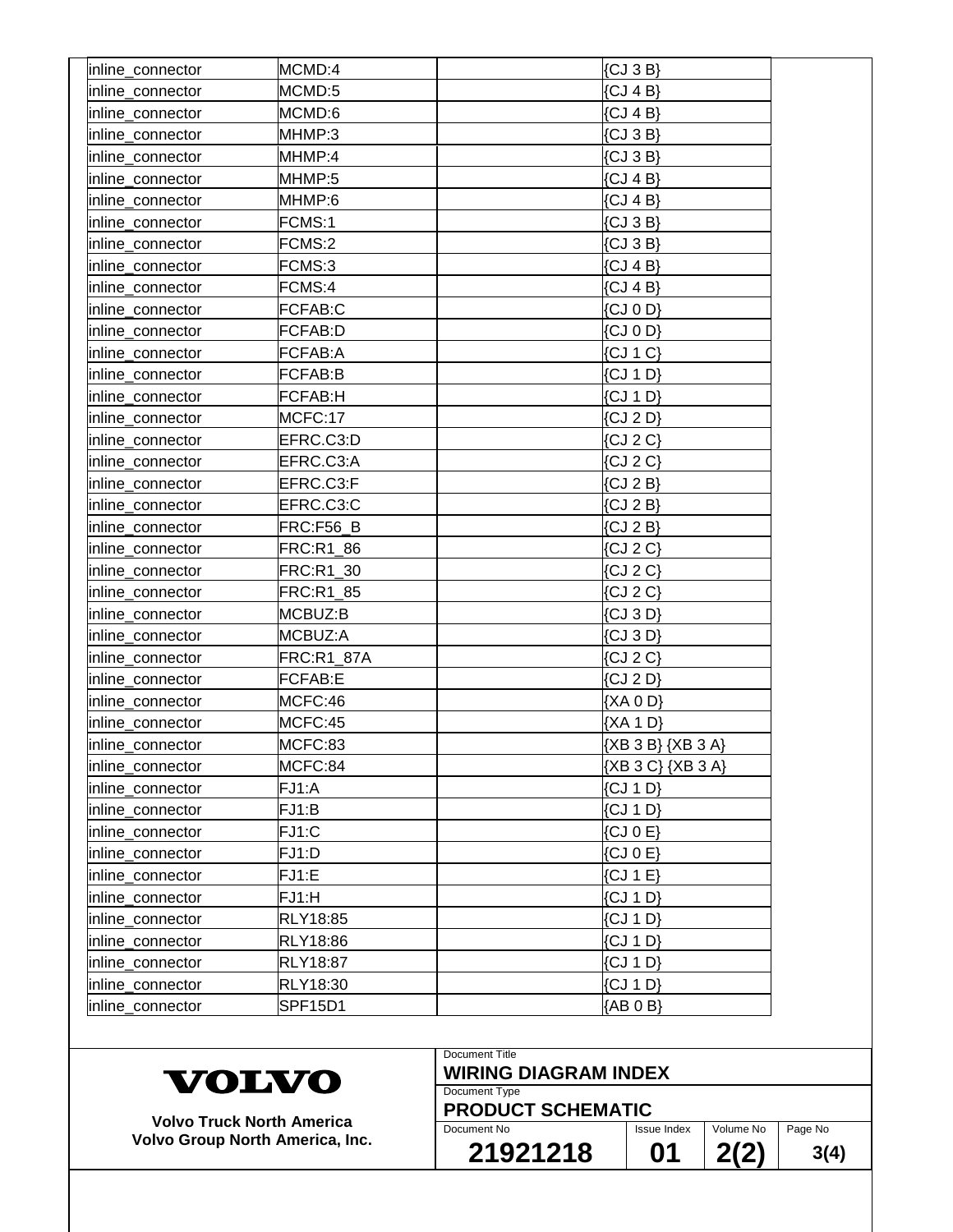| inline_connector | MCMD:4          | $\{CJ 3B\}$           |
|------------------|-----------------|-----------------------|
| inline_connector | MCMD:5          | $\{CJ 4B\}$           |
| inline connector | MCMD:6          | $\{CJ 4B\}$           |
| inline_connector | MHMP:3          | $\{CJ \ 3 \ B\}$      |
| inline_connector | MHMP:4          | $\{CJ 3B\}$           |
| inline_connector | MHMP:5          | $\{CJ 4B\}$           |
| inline_connector | MHMP:6          | $\{CJ 4B\}$           |
| inline_connector | FCMS:1          | $\{CJ \ 3 \ B\}$      |
| inline connector | FCMS:2          | $\{CJ 3B\}$           |
| inline_connector | FCMS:3          | $\{CJ 4B\}$           |
| inline_connector | FCMS:4          | $\{CJ 4B\}$           |
| inline_connector | FCFAB:C         | $\{CJ \ 0 \ D\}$      |
| inline_connector | <b>FCFAB:D</b>  | $\{CJ \ 0 \ D\}$      |
| inline_connector | FCFAB:A         | $\{CJ \mid C\}$       |
| inline_connector | FCFAB:B         | $\{CJ 1 D\}$          |
| inline connector | <b>FCFAB:H</b>  | $\{CJ 1 D\}$          |
| inline_connector | MCFC:17         | $\{CJ 2 D\}$          |
| inline connector | EFRC.C3:D       | $\{CJ 2 C\}$          |
| inline connector | EFRC.C3:A       | $\{CJ 2 C\}$          |
| inline_connector | EFRC.C3:F       | $\{CJ 2B\}$           |
| inline_connector | EFRC.C3:C       | $\{CJ 2B\}$           |
| inline_connector | FRC:F56_B       | $\{CJ 2B\}$           |
| inline_connector | FRC:R1_86       | $\{CJ 2 C\}$          |
| inline_connector | FRC:R1_30       | $\{CJ 2 C\}$          |
| inline_connector | FRC:R1_85       | $\{CJ 2 C\}$          |
| inline_connector | MCBUZ:B         | $\{CJ \ 3 \ D\}$      |
| inline_connector | MCBUZ:A         | $\{CJ \ 3 \ D\}$      |
| inline_connector | FRC:R1_87A      | $\{CJ 2 C\}$          |
| inline connector | <b>FCFAB:E</b>  | $\{CJ 2 D\}$          |
| inline_connector | MCFC:46         | ${XA}$ 0 D}           |
| inline_connector | MCFC:45         | ${XA 1 D}$            |
| inline_connector | MCFC:83         | ${XB} 3 B} {XB} 3 A}$ |
| inline_connector | MCFC:84         | {XB 3 C} {XB 3 A}     |
| inline_connector | FJ1:A           | $\{CJ 1 D\}$          |
| inline_connector | FJ1:B           | $\{CJ \mid D\}$       |
| inline_connector | FJ1:C           | $\{CJ \mid C \in \}$  |
| inline_connector | FJ1:D           | $\{CJ \ 0 \ E\}$      |
| inline_connector | FJ1:E           | $\{CJ 1 E\}$          |
| inline_connector | FJ1:H           | $\{CJ \mid D\}$       |
| inline connector | RLY18:85        | $\{CJ 1 D\}$          |
| inline_connector | <b>RLY18:86</b> | $\{CJ \mid D\}$       |
| inline_connector | RLY18:87        | $\{CJ 1 D\}$          |
| inline_connector | RLY18:30        | $\{CJ 1 D\}$          |
| inline_connector | SPF15D1         | ${AB 0 B}$            |
|                  |                 |                       |